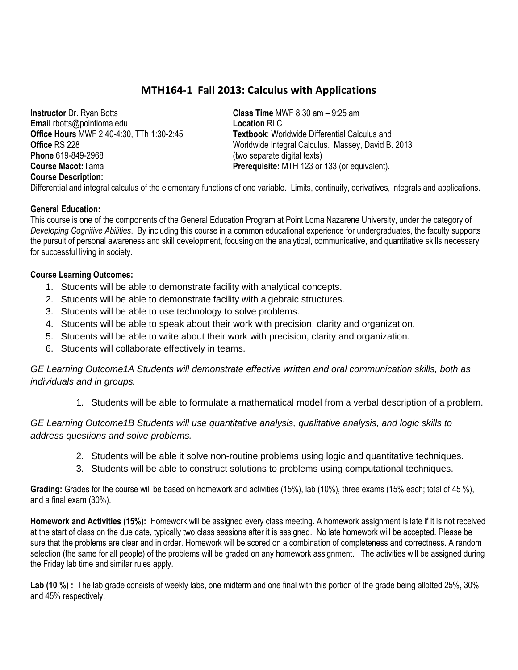## **MTH164-1 Fall 2013: Calculus with Applications**

**Instructor** Dr. Ryan Botts **Email** rbotts@pointloma.edu **Office Hours** MWF 2:40-4:30, TTh 1:30-2:45 **Office** RS 228 **Phone** 619-849-2968 **Course Macot:** llama **Course Description:**

**Class Time** MWF 8:30 am – 9:25 am **Location** RLC **Textbook**: Worldwide Differential Calculus and Worldwide Integral Calculus. Massey, David B. 2013 (two separate digital texts) **Prerequisite:** MTH 123 or 133 (or equivalent).

Differential and integral calculus of the elementary functions of one variable. Limits, continuity, derivatives, integrals and applications.

### **General Education:**

This course is one of the components of the General Education Program at Point Loma Nazarene University, under the category of *Developing Cognitive Abilities*. By including this course in a common educational experience for undergraduates, the faculty supports the pursuit of personal awareness and skill development, focusing on the analytical, communicative, and quantitative skills necessary for successful living in society.

### **Course Learning Outcomes:**

- 1. Students will be able to demonstrate facility with analytical concepts.
- 2. Students will be able to demonstrate facility with algebraic structures.
- 3. Students will be able to use technology to solve problems.
- 4. Students will be able to speak about their work with precision, clarity and organization.
- 5. Students will be able to write about their work with precision, clarity and organization.
- 6. Students will collaborate effectively in teams.

*GE Learning Outcome1A Students will demonstrate effective written and oral communication skills, both as individuals and in groups.*

1. Students will be able to formulate a mathematical model from a verbal description of a problem.

*GE Learning Outcome1B Students will use quantitative analysis, qualitative analysis, and logic skills to address questions and solve problems.*

- 2. Students will be able it solve non-routine problems using logic and quantitative techniques.
- 3. Students will be able to construct solutions to problems using computational techniques.

**Grading:** Grades for the course will be based on homework and activities (15%), lab (10%), three exams (15% each; total of 45 %), and a final exam (30%).

**Homework and Activities (15%):** Homework will be assigned every class meeting. A homework assignment is late if it is not received at the start of class on the due date, typically two class sessions after it is assigned. No late homework will be accepted. Please be sure that the problems are clear and in order. Homework will be scored on a combination of completeness and correctness. A random selection (the same for all people) of the problems will be graded on any homework assignment. The activities will be assigned during the Friday lab time and similar rules apply.

Lab (10 %) : The lab grade consists of weekly labs, one midterm and one final with this portion of the grade being allotted 25%, 30% and 45% respectively.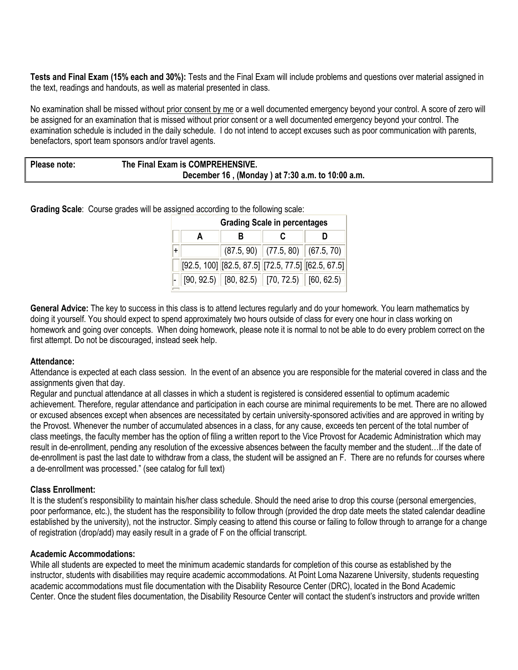**Tests and Final Exam (15% each and 30%):** Tests and the Final Exam will include problems and questions over material assigned in the text, readings and handouts, as well as material presented in class.

No examination shall be missed without prior consent by me or a well documented emergency beyond your control. A score of zero will be assigned for an examination that is missed without prior consent or a well documented emergency beyond your control. The examination schedule is included in the daily schedule. I do not intend to accept excuses such as poor communication with parents, benefactors, sport team sponsors and/or travel agents.

| Please note: | The Final Exam is COMPREHENSIVE.                 |  |  |  |  |
|--------------|--------------------------------------------------|--|--|--|--|
|              | December 16, (Monday) at 7:30 a.m. to 10:00 a.m. |  |  |  |  |

**Grading Scale**: Course grades will be assigned according to the following scale:

| <b>Grading Scale in percentages</b> |   |                                                            |  |  |  |  |  |
|-------------------------------------|---|------------------------------------------------------------|--|--|--|--|--|
|                                     | R | C                                                          |  |  |  |  |  |
|                                     |   | $(87.5, 90)$ $(77.5, 80)$ $(67.5, 70)$                     |  |  |  |  |  |
|                                     |   | $[92.5, 100]$ $[82.5, 87.5]$ $[72.5, 77.5]$ $[62.5, 67.5]$ |  |  |  |  |  |
|                                     |   | $[90, 92.5)$ $[80, 82.5)$ $[70, 72.5)$ $[60, 62.5)$        |  |  |  |  |  |

**General Advice:** The key to success in this class is to attend lectures regularly and do your homework. You learn mathematics by doing it yourself. You should expect to spend approximately two hours outside of class for every one hour in class working on homework and going over concepts. When doing homework, please note it is normal to not be able to do every problem correct on the first attempt. Do not be discouraged, instead seek help.

#### **Attendance:**

Attendance is expected at each class session. In the event of an absence you are responsible for the material covered in class and the assignments given that day.

Regular and punctual attendance at all classes in which a student is registered is considered essential to optimum academic achievement. Therefore, regular attendance and participation in each course are minimal requirements to be met. There are no allowed or excused absences except when absences are necessitated by certain university-sponsored activities and are approved in writing by the Provost. Whenever the number of accumulated absences in a class, for any cause, exceeds ten percent of the total number of class meetings, the faculty member has the option of filing a written report to the Vice Provost for Academic Administration which may result in de-enrollment, pending any resolution of the excessive absences between the faculty member and the student…If the date of de-enrollment is past the last date to withdraw from a class, the student will be assigned an F. There are no refunds for courses where a de-enrollment was processed." (see catalog for full text)

#### **Class Enrollment:**

It is the student's responsibility to maintain his/her class schedule. Should the need arise to drop this course (personal emergencies, poor performance, etc.), the student has the responsibility to follow through (provided the drop date meets the stated calendar deadline established by the university), not the instructor. Simply ceasing to attend this course or failing to follow through to arrange for a change of registration (drop/add) may easily result in a grade of F on the official transcript.

#### **Academic Accommodations:**

While all students are expected to meet the minimum academic standards for completion of this course as established by the instructor, students with disabilities may require academic accommodations. At Point Loma Nazarene University, students requesting academic accommodations must file documentation with the Disability Resource Center (DRC), located in the Bond Academic Center. Once the student files documentation, the Disability Resource Center will contact the student's instructors and provide written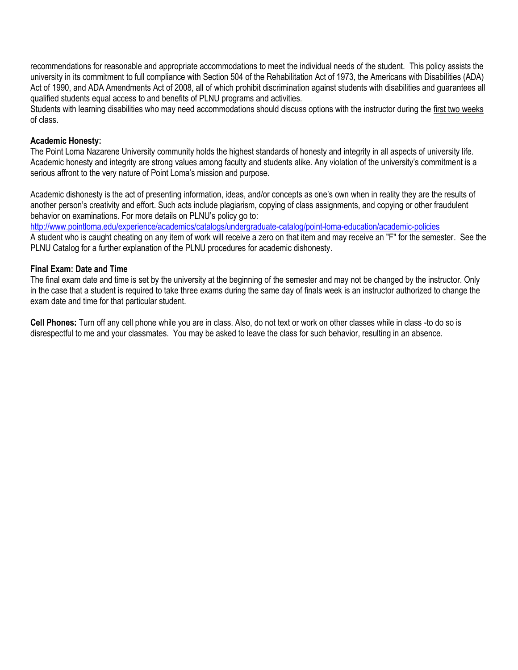recommendations for reasonable and appropriate accommodations to meet the individual needs of the student. This policy assists the university in its commitment to full compliance with Section 504 of the Rehabilitation Act of 1973, the Americans with Disabilities (ADA) Act of 1990, and ADA Amendments Act of 2008, all of which prohibit discrimination against students with disabilities and guarantees all qualified students equal access to and benefits of PLNU programs and activities.

Students with learning disabilities who may need accommodations should discuss options with the instructor during the first two weeks of class.

#### **Academic Honesty:**

The Point Loma Nazarene University community holds the highest standards of honesty and integrity in all aspects of university life. Academic honesty and integrity are strong values among faculty and students alike. Any violation of the university's commitment is a serious affront to the very nature of Point Loma's mission and purpose.

Academic dishonesty is the act of presenting information, ideas, and/or concepts as one's own when in reality they are the results of another person's creativity and effort. Such acts include plagiarism, copying of class assignments, and copying or other fraudulent behavior on examinations. For more details on PLNU's policy go to:

<http://www.pointloma.edu/experience/academics/catalogs/undergraduate-catalog/point-loma-education/academic-policies>

A student who is caught cheating on any item of work will receive a zero on that item and may receive an "F" for the semester. See the PLNU Catalog for a further explanation of the PLNU procedures for academic dishonesty.

### **Final Exam: Date and Time**

The final exam date and time is set by the university at the beginning of the semester and may not be changed by the instructor. Only in the case that a student is required to take three exams during the same day of finals week is an instructor authorized to change the exam date and time for that particular student.

**Cell Phones:** Turn off any cell phone while you are in class. Also, do not text or work on other classes while in class -to do so is disrespectful to me and your classmates. You may be asked to leave the class for such behavior, resulting in an absence.